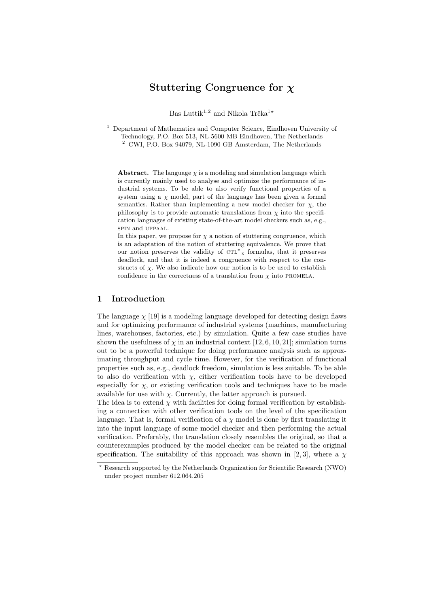# Stuttering Congruence for  $\chi$

Bas Luttik<sup>1,2</sup> and Nikola Trčka<sup>1</sup>\*

<sup>1</sup> Department of Mathematics and Computer Science, Eindhoven University of Technology, P.O. Box 513, NL-5600 MB Eindhoven, The Netherlands <sup>2</sup> CWI, P.O. Box 94079, NL-1090 GB Amsterdam, The Netherlands

**Abstract.** The language  $\chi$  is a modeling and simulation language which is currently mainly used to analyse and optimize the performance of industrial systems. To be able to also verify functional properties of a system using a  $\chi$  model, part of the language has been given a formal semantics. Rather than implementing a new model checker for  $\chi$ , the philosophy is to provide automatic translations from  $\chi$  into the specification languages of existing state-of-the-art model checkers such as, e.g., spin and uppaal.

In this paper, we propose for  $\chi$  a notion of stuttering congruence, which is an adaptation of the notion of stuttering equivalence. We prove that our notion preserves the validity of CTL<sup>\*</sup><sub>-x</sub> formulas, that it preserves deadlock, and that it is indeed a congruence with respect to the constructs of  $\chi$ . We also indicate how our notion is to be used to establish confidence in the correctness of a translation from  $\chi$  into PROMELA.

## 1 Introduction

The language  $\chi$  [19] is a modeling language developed for detecting design flaws and for optimizing performance of industrial systems (machines, manufacturing lines, warehouses, factories, etc.) by simulation. Quite a few case studies have shown the usefulness of  $\chi$  in an industrial context [12, 6, 10, 21]; simulation turns out to be a powerful technique for doing performance analysis such as approximating throughput and cycle time. However, for the verification of functional properties such as, e.g., deadlock freedom, simulation is less suitable. To be able to also do verification with  $\chi$ , either verification tools have to be developed especially for  $\chi$ , or existing verification tools and techniques have to be made available for use with  $\chi$ . Currently, the latter approach is pursued.

The idea is to extend  $\chi$  with facilities for doing formal verification by establishing a connection with other verification tools on the level of the specification language. That is, formal verification of a  $\chi$  model is done by first translating it into the input language of some model checker and then performing the actual verification. Preferably, the translation closely resembles the original, so that a counterexamples produced by the model checker can be related to the original specification. The suitability of this approach was shown in [2,3], where a  $\chi$ 

<sup>?</sup> Research supported by the Netherlands Organization for Scientific Research (NWO) under project number 612.064.205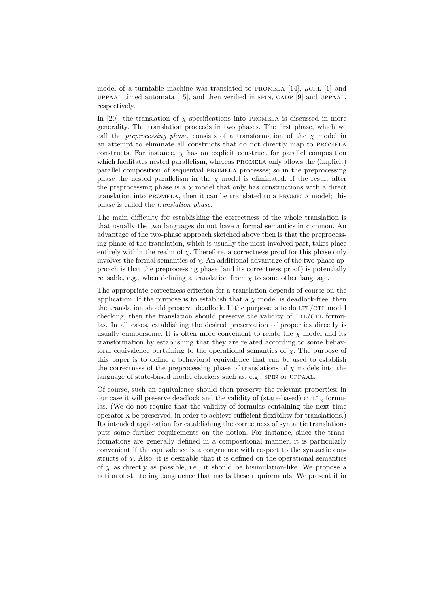model of a turntable machine was translated to PROMELA [14],  $\mu$ CRL [1] and uppaal timed automata  $[15]$ , and then verified in SPIN, CADP  $[9]$  and UPPAAL, respectively.

In [20], the translation of  $\chi$  specifications into PROMELA is discussed in more generality. The translation proceeds in two phases. The first phase, which we call the *preprocessing phase*, consists of a transformation of the  $\chi$  model in an attempt to eliminate all constructs that do not directly map to promela constructs. For instance,  $\chi$  has an explicit construct for parallel composition which facilitates nested parallelism, whereas PROMELA only allows the (implicit) parallel composition of sequential promela processes; so in the preprocessing phase the nested parallelism in the  $\chi$  model is eliminated. If the result after the preprocessing phase is a  $\chi$  model that only has constructions with a direct translation into promela, then it can be translated to a promela model; this phase is called the translation phase.

The main difficulty for establishing the correctness of the whole translation is that usually the two languages do not have a formal semantics in common. An advantage of the two-phase approach sketched above then is that the preprocessing phase of the translation, which is usually the most involved part, takes place entirely within the realm of  $\chi$ . Therefore, a correctness proof for this phase only involves the formal semantics of  $\chi$ . An additional advantage of the two-phase approach is that the preprocessing phase (and its correctness proof) is potentially reusable, e.g., when defining a translation from  $\chi$  to some other language.

The appropriate correctness criterion for a translation depends of course on the application. If the purpose is to establish that a  $\chi$  model is deadlock-free, then the translation should preserve deadlock. If the purpose is to do  $LTL/CTL$  model checking, then the translation should preserve the validity of  $LTL/CTL$  formulas. In all cases, establishing the desired preservation of properties directly is usually cumbersome. It is often more convenient to relate the  $\chi$  model and its transformation by establishing that they are related according to some behavioral equivalence pertaining to the operational semantics of  $\chi$ . The purpose of this paper is to define a behavioral equivalence that can be used to establish the correctness of the preprocessing phase of translations of  $\chi$  models into the language of state-based model checkers such as, e.g., spin or uppaal.

Of course, such an equivalence should then preserve the relevant properties; in our case it will preserve deadlock and the validity of (state-based)  $\text{CTL}_{-x}^*$  formulas. (We do not require that the validity of formulas containing the next time operator x be preserved, in order to achieve sufficient flexibility for translations.) Its intended application for establishing the correctness of syntactic translations puts some further requirements on the notion. For instance, since the transformations are generally defined in a compositional manner, it is particularly convenient if the equivalence is a congruence with respect to the syntactic constructs of  $\chi$ . Also, it is desirable that it is defined on the operational semantics of  $\chi$  as directly as possible, i.e., it should be bisimulation-like. We propose a notion of stuttering congruence that meets these requirements. We present it in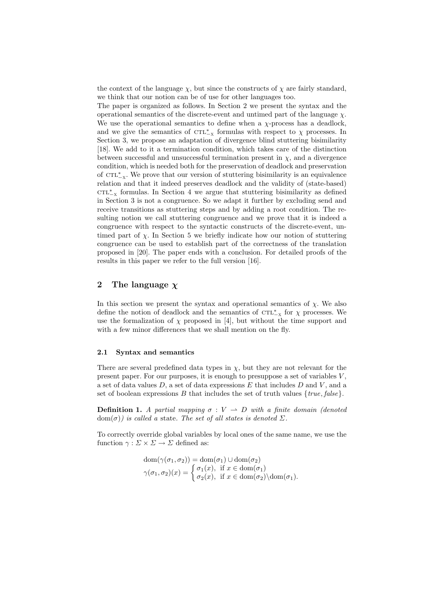the context of the language  $\chi$ , but since the constructs of  $\chi$  are fairly standard, we think that our notion can be of use for other languages too.

The paper is organized as follows. In Section 2 we present the syntax and the operational semantics of the discrete-event and untimed part of the language  $\chi$ . We use the operational semantics to define when a  $\chi$ -process has a deadlock, and we give the semantics of  $\text{CTL}_{-X}^*$  formulas with respect to  $\chi$  processes. In Section 3, we propose an adaptation of divergence blind stuttering bisimilarity [18]. We add to it a termination condition, which takes care of the distinction between successful and unsuccessful termination present in  $\chi$ , and a divergence condition, which is needed both for the preservation of deadlock and preservation of CTL<sup>\*</sup><sub>x</sub>. We prove that our version of stuttering bisimilarity is an equivalence relation and that it indeed preserves deadlock and the validity of (state-based)  $\text{CTL}^*_{-x}$  formulas. In Section 4 we argue that stuttering bisimilarity as defined in Section 3 is not a congruence. So we adapt it further by excluding send and receive transitions as stuttering steps and by adding a root condition. The resulting notion we call stuttering congruence and we prove that it is indeed a congruence with respect to the syntactic constructs of the discrete-event, untimed part of  $\chi$ . In Section 5 we briefly indicate how our notion of stuttering congruence can be used to establish part of the correctness of the translation proposed in [20]. The paper ends with a conclusion. For detailed proofs of the results in this paper we refer to the full version [16].

## 2 The language  $\chi$

In this section we present the syntax and operational semantics of  $\chi$ . We also define the notion of deadlock and the semantics of  $\mathtt{CTL}^*_{-x}$  for  $\chi$  processes. We use the formalization of  $\chi$  proposed in [4], but without the time support and with a few minor differences that we shall mention on the fly.

#### 2.1 Syntax and semantics

There are several predefined data types in  $\chi$ , but they are not relevant for the present paper. For our purposes, it is enough to presuppose a set of variables  $V$ , a set of data values  $D$ , a set of data expressions  $E$  that includes  $D$  and  $V$ , and a set of boolean expressions B that includes the set of truth values  $\{true, false\}$ .

**Definition 1.** A partial mapping  $\sigma: V \to D$  with a finite domain (denoted  $dom(\sigma)$  is called a state. The set of all states is denoted  $\Sigma$ .

To correctly override global variables by local ones of the same name, we use the function  $\gamma : \Sigma \times \Sigma \to \Sigma$  defined as:

$$
dom(\gamma(\sigma_1, \sigma_2)) = dom(\sigma_1) \cup dom(\sigma_2)
$$
  
 
$$
\gamma(\sigma_1, \sigma_2)(x) = \begin{cases} \sigma_1(x), & \text{if } x \in dom(\sigma_1) \\ \sigma_2(x), & \text{if } x \in dom(\sigma_2) \setminus dom(\sigma_1). \end{cases}
$$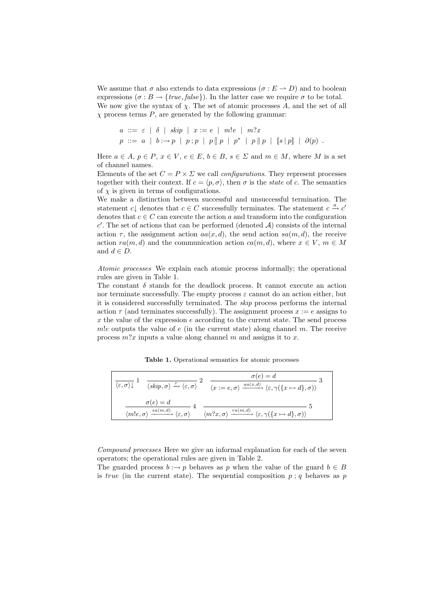We assume that  $\sigma$  also extends to data expressions  $(\sigma : E \to D)$  and to boolean expressions  $(\sigma : B \to \{true, false\})$ . In the latter case we require  $\sigma$  to be total. We now give the syntax of  $\chi$ . The set of atomic processes A, and the set of all  $\chi$  process terms  $P$ , are generated by the following grammar:

$$
a ::= \varepsilon \mid \delta \mid skip \mid x := e \mid m!e \mid m?x
$$
  

$$
p ::= a \mid b : \rightarrow p \mid p; p \mid p \parallel p \mid p^* \mid p \parallel p \mid [s \mid p] \mid \partial(p).
$$

Here  $a \in A$ ,  $p \in P$ ,  $x \in V$ ,  $e \in E$ ,  $b \in B$ ,  $s \in \Sigma$  and  $m \in M$ , where M is a set of channel names.

Elements of the set  $C = P \times \Sigma$  we call *configurations*. They represent processes together with their context. If  $c = \langle p, \sigma \rangle$ , then  $\sigma$  is the *state* of c. The semantics of  $\chi$  is given in terms of configurations.

We make a distinction between successful and unsuccessful termination. The statement  $c \downarrow$  denotes that  $c \in C$  successfully terminates. The statement  $c \stackrel{a}{\rightarrow} c'$ denotes that  $c \in C$  can execute the action a and transform into the configuration  $c'$ . The set of actions that can be performed (denoted  $\mathcal{A}$ ) consists of the internal action  $\tau$ , the assignment action  $aa(x, d)$ , the send action  $sa(m, d)$ , the receive action  $ra(m, d)$  and the communication action  $ca(m, d)$ , where  $x \in V$ ,  $m \in M$ and  $d \in D$ .

Atomic processes We explain each atomic process informally; the operational rules are given in Table 1.

The constant  $\delta$  stands for the deadlock process. It cannot execute an action nor terminate successfully. The empty process  $\varepsilon$  cannot do an action either, but it is considered successfully terminated. The skip process performs the internal action  $\tau$  (and terminates successfully). The assignment process  $x := e$  assigns to x the value of the expression  $e$  according to the current state. The send process m!e outputs the value of  $e$  (in the current state) along channel m. The receive process  $m$ ?x inputs a value along channel m and assigns it to x.

Table 1. Operational semantics for atomic processes

| $\langle \varepsilon, \sigma \rangle \bot$ |                                                                                                                                                                                                                      | $\sigma(e) = d$<br>$\overline{\langle skip, \sigma \rangle} \stackrel{\tau}{\rightarrow} \langle \varepsilon, \sigma \rangle$ $\stackrel{\tau}{\rightarrow}$ $\langle x := e, \sigma \rangle \stackrel{aa(x,d)}{\rightarrow} \langle \varepsilon, \gamma(\lbrace x \mapsto d \rbrace, \sigma) \rangle$ |
|--------------------------------------------|----------------------------------------------------------------------------------------------------------------------------------------------------------------------------------------------------------------------|--------------------------------------------------------------------------------------------------------------------------------------------------------------------------------------------------------------------------------------------------------------------------------------------------------|
| $\sigma(e) = d$                            | $\langle m!e, \sigma \rangle \xrightarrow{sa(m,d)} \langle \varepsilon, \sigma \rangle$ $\langle m?x, \sigma \rangle \xrightarrow{ra(m,d)} \langle \varepsilon, \gamma(\lbrace x \mapsto d \rbrace, \sigma) \rangle$ |                                                                                                                                                                                                                                                                                                        |

Compound processes Here we give an informal explanation for each of the seven operators; the operational rules are given in Table 2.

The guarded process  $b : \rightarrow p$  behaves as p when the value of the guard  $b \in B$ is true (in the current state). The sequential composition  $p$ ; q behaves as p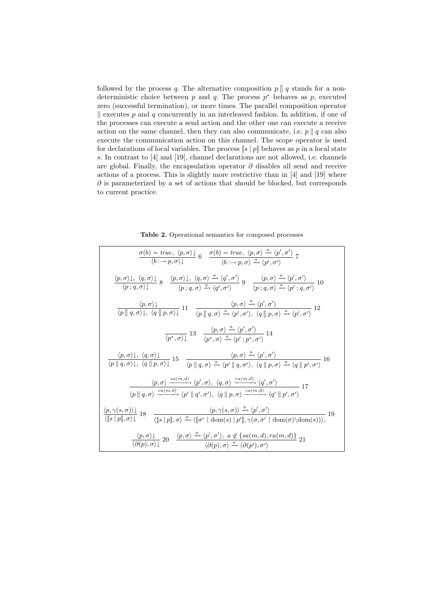followed by the process q. The alternative composition  $p \parallel q$  stands for a nondeterministic choice between  $p$  and  $q$ . The process  $p^*$  behaves as  $p$ , executed zero (successful termination), or more times. The parallel composition operator  $\parallel$  executes p and q concurrently in an interleaved fashion. In addition, if one of the processes can execute a send action and the other one can execute a receive action on the same channel, then they can also communicate, i.e.  $p \parallel q$  can also execute the communication action on this channel. The scope operator is used for declarations of local variables. The process  $\llbracket s \mid p \rrbracket$  behaves as p in a local state s. In contrast to [4] and [19], channel declarations are not allowed, i.e. channels are global. Finally, the encapsulation operator  $\partial$  disables all send and receive actions of a process. This is slightly more restrictive than in [4] and [19] where  $\partial$  is parameterized by a set of actions that should be blocked, but corresponds to current practice.

Table 2. Operational semantics for composed processes

$$
\frac{\sigma(b) = true, \langle p, \sigma \rangle}{\langle b; \rightarrow p, \sigma \rangle} 6 \quad \frac{\sigma(b) = true, \langle p, \sigma \rangle \xrightarrow{\alpha} \langle p', \sigma' \rangle}{\langle b; \rightarrow p, \sigma \rangle \xrightarrow{\alpha} \langle p', \sigma' \rangle} 7
$$
\n
$$
\frac{\langle p, \sigma \rangle \downarrow, \langle q, \sigma \rangle \downarrow}{\langle p; q, \sigma \rangle \downarrow} 8 \quad \frac{\langle p, \sigma \rangle \downarrow, \langle q, \sigma \rangle \xrightarrow{\alpha} \langle q', \sigma' \rangle}{\langle p; q, \sigma \rangle \xrightarrow{\alpha} \langle q', \sigma' \rangle} 9 \quad \frac{\langle p, \sigma \rangle \xrightarrow{\alpha} \langle p', \sigma' \rangle}{\langle p; q, \sigma \rangle \xrightarrow{\alpha} \langle p', q, \sigma' \rangle} 10
$$
\n
$$
\frac{\langle p, \sigma \rangle \downarrow}{\langle p | q, \sigma \rangle \downarrow, \langle q | p, \sigma \rangle \downarrow} 11 \quad \frac{\langle p, \sigma \rangle \xrightarrow{\alpha} \langle p', \sigma' \rangle}{\langle p | q, \sigma \rangle \xrightarrow{\alpha} \langle p', \sigma' \rangle}, \langle q | p, \sigma \rangle \xrightarrow{\alpha} \langle p', \sigma' \rangle} 12
$$
\n
$$
\frac{\langle p, \sigma \rangle \downarrow}{\langle p; \sigma \rangle \downarrow} 13 \quad \frac{\langle p, \sigma \rangle \xrightarrow{\alpha} \langle p', \sigma' \rangle}{\langle p; \sigma \rangle \xrightarrow{\alpha} \langle p', \sigma' \rangle} 14
$$
\n
$$
\frac{\langle p, \sigma \rangle \downarrow, \langle q, \sigma \rangle \downarrow}{\langle p | q, \sigma \rangle \downarrow, \langle q | p, \sigma \rangle \downarrow} 15 \quad \frac{\langle p, \sigma \rangle \xrightarrow{\alpha} \langle p', \sigma \rangle}{\langle p | q, \sigma \rangle \xrightarrow{\alpha} \langle p', \sigma \rangle} 16
$$
\n
$$
\frac{\langle p, \sigma \rangle \downarrow}{\langle p | q, \sigma \rangle \downarrow, \langle q | p, \sigma \rangle \xrightarrow{\alpha} \langle p', \sigma \rangle, \langle q, \sigma \rangle \xrightarrow{\alpha} \langle q', \sigma' \rangle} 16
$$
\n
$$
\frac{\langle p, \sigma \rangle \xrightarrow{sa(m,d)} \langle p', \sigma \rangle, \langle q, \sigma \rangle
$$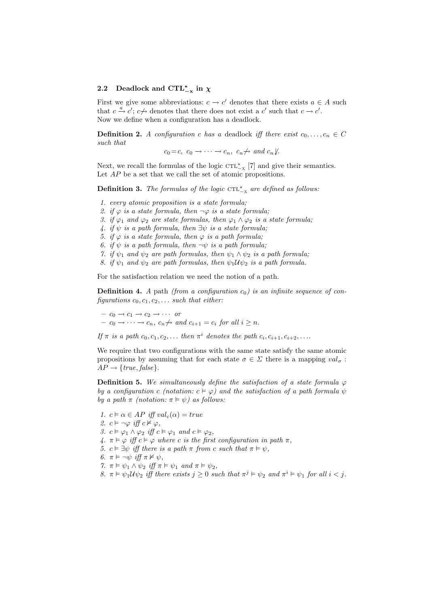# 2.2 Deadlock and  $\text{CTL}_{-\mathbf{x}}^{*}$  in  $\chi$

First we give some abbreviations:  $c \to c'$  denotes that there exists  $a \in A$  such that  $c \stackrel{a}{\rightarrow} c$ ;  $c \nrightarrow$  denotes that there does not exist a c' such that  $c \rightarrow c'$ . Now we define when a configuration has a deadlock.

**Definition 2.** A configuration c has a deadlock iff there exist  $c_0, \ldots, c_n \in C$ such that

 $c_0 = c, \ c_0 \rightarrow \cdots \rightarrow c_n, \ c_n \nrightarrow \text{ and } c_n \nrightarrow$ .

Next, we recall the formulas of the logic  $\text{CTL}_{-X}^*$  [7] and give their semantics. Let  $AP$  be a set that we call the set of atomic propositions.

**Definition 3.** The formulas of the logic  $\text{CTL}_{-X}^*$  are defined as follows:

- 1. every atomic proposition is a state formula;
- 2. if  $\varphi$  is a state formula, then  $\neg \varphi$  is a state formula;
- 3. if  $\varphi_1$  and  $\varphi_2$  are state formulas, then  $\varphi_1 \wedge \varphi_2$  is a state formula;
- 4. if  $\psi$  is a path formula, then  $\exists \psi$  is a state formula;
- 5. if  $\varphi$  is a state formula, then  $\varphi$  is a path formula;

6. if  $\psi$  is a path formula, then  $\neg \psi$  is a path formula;

- 7. if  $\psi_1$  and  $\psi_2$  are path formulas, then  $\psi_1 \wedge \psi_2$  is a path formula;
- 8. if  $\psi_1$  and  $\psi_2$  are path formulas, then  $\psi_1 \mathcal{U} \psi_2$  is a path formula.

For the satisfaction relation we need the notion of a path.

**Definition 4.** A path (from a configuration  $c_0$ ) is an infinite sequence of configurations  $c_0, c_1, c_2, \ldots$  such that either:

 $- c_0 \rightarrow c_1 \rightarrow c_2 \rightarrow \cdots$  or  $-c_0 \to \cdots \to c_n$ ,  $c_n \nightharpoonup$  and  $c_{i+1} = c_i$  for all  $i \geq n$ .

If  $\pi$  is a path  $c_0, c_1, c_2, \ldots$  then  $\pi^i$  denotes the path  $c_i, c_{i+1}, c_{i+2}, \ldots$ 

We require that two configurations with the same state satisfy the same atomic propositions by assuming that for each state  $\sigma \in \Sigma$  there is a mapping  $val_{\sigma}$ :  $AP \rightarrow \{true, false\}.$ 

**Definition 5.** We simultaneously define the satisfaction of a state formula  $\varphi$ by a configuration c (notation:  $c \vDash \varphi$ ) and the satisfaction of a path formula  $\psi$ by a path  $\pi$  (notation:  $\pi \models \psi$ ) as follows:

- 1.  $c \vDash \alpha \in AP$  iff  $val_c(\alpha) = true$
- 2.  $c \vDash \neg \varphi$  iff  $c \nvDash \varphi$ ,
- 3.  $c \vDash \varphi_1 \land \varphi_2$  iff  $c \vDash \varphi_1$  and  $c \vDash \varphi_2$ ,
- 4.  $\pi \models \varphi$  iff  $c \models \varphi$  where c is the first configuration in path  $\pi$ ,
- 5.  $c \vDash \exists \psi$  iff there is a path  $\pi$  from c such that  $\pi \vDash \psi$ ,
- 6.  $\pi \models \neg \psi$  iff  $\pi \not\vDash \psi$ ,
- 7.  $\pi \vDash \psi_1 \land \psi_2$  iff  $\pi \vDash \psi_1$  and  $\pi \vDash \psi_2$ ,
- 8.  $\pi \models \psi_1 \mathcal{U} \psi_2$  iff there exists  $j \geq 0$  such that  $\pi^j \models \psi_2$  and  $\pi^i \models \psi_1$  for all  $i < j$ .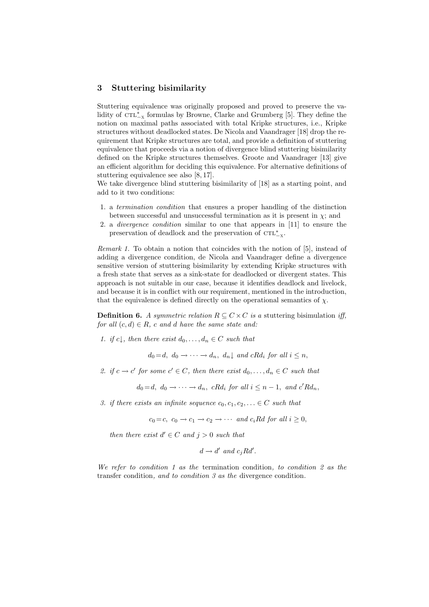### 3 Stuttering bisimilarity

Stuttering equivalence was originally proposed and proved to preserve the validity of  $\text{CTL}_{-x}^*$  formulas by Browne, Clarke and Grumberg [5]. They define the notion on maximal paths associated with total Kripke structures, i.e., Kripke structures without deadlocked states. De Nicola and Vaandrager [18] drop the requirement that Kripke structures are total, and provide a definition of stuttering equivalence that proceeds via a notion of divergence blind stuttering bisimilarity defined on the Kripke structures themselves. Groote and Vaandrager [13] give an efficient algorithm for deciding this equivalence. For alternative definitions of stuttering equivalence see also [8, 17].

We take divergence blind stuttering bisimilarity of [18] as a starting point, and add to it two conditions:

- 1. a termination condition that ensures a proper handling of the distinction between successful and unsuccessful termination as it is present in  $\chi$ ; and
- 2. a divergence condition similar to one that appears in [11] to ensure the preservation of deadlock and the preservation of  $\text{CTL}_{-X}^*$ .

Remark 1. To obtain a notion that coincides with the notion of [5], instead of adding a divergence condition, de Nicola and Vaandrager define a divergence sensitive version of stuttering bisimilarity by extending Kripke structures with a fresh state that serves as a sink-state for deadlocked or divergent states. This approach is not suitable in our case, because it identifies deadlock and livelock, and because it is in conflict with our requirement, mentioned in the introduction, that the equivalence is defined directly on the operational semantics of  $\chi$ .

**Definition 6.** A symmetric relation  $R \subseteq C \times C$  is a stuttering bisimulation iff, for all  $(c, d) \in R$ , c and d have the same state and:

1. if c, then there exist  $d_0, \ldots, d_n \in C$  such that

$$
d_0 = d, d_0 \rightarrow \cdots \rightarrow d_n, d_n \downarrow \text{ and } cRd_i \text{ for all } i \leq n,
$$

2. if  $c \to c'$  for some  $c' \in C$ , then there exist  $d_0, \ldots, d_n \in C$  such that

 $d_0 = d, d_0 \to \cdots \to d_n, cRd_i$  for all  $i \leq n-1$ , and  $c'Rd_n$ ,

3. if there exists an infinite sequence  $c_0, c_1, c_2, \ldots \in C$  such that

$$
c_0 = c
$$
,  $c_0 \rightarrow c_1 \rightarrow c_2 \rightarrow \cdots$  and  $c_i R d$  for all  $i \geq 0$ ,

then there exist  $d' \in C$  and  $j > 0$  such that

$$
d \to d' \text{ and } c_j R d'.
$$

We refer to condition 1 as the termination condition, to condition 2 as the transfer condition, and to condition 3 as the divergence condition.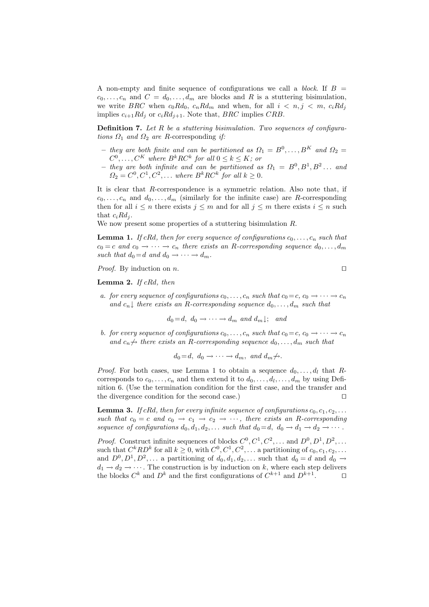A non-empty and finite sequence of configurations we call a *block*. If  $B =$  $c_0, \ldots, c_n$  and  $C = d_0, \ldots, d_m$  are blocks and R is a stuttering bisimulation, we write BRC when  $c_0 R d_0$ ,  $c_n R d_m$  and when, for all  $i < n, j < m$ ,  $c_i R d_j$ implies  $c_{i+1}Rd_i$  or  $c_iRd_{i+1}$ . Note that, *BRC* implies *CRB*.

**Definition 7.** Let  $R$  be a stuttering bisimulation. Two sequences of configurations  $\Omega_1$  and  $\Omega_2$  are R-corresponding if:

- they are both finite and can be partitioned as  $\Omega_1 = B^0, \ldots, B^K$  and  $\Omega_2 =$  $C^0, \ldots, C^K$  where  $B^k R C^k$  for all  $0 \leq k \leq K$ ; or
- they are both infinite and can be partitioned as  $\Omega_1 = B^0, B^1, B^2 \dots$  and  $\Omega_2 = C^0, C^1, C^2, \dots$  where  $B^k R C^k$  for all  $k \geq 0$ .

It is clear that R-correspondence is a symmetric relation. Also note that, if  $c_0, \ldots, c_n$  and  $d_0, \ldots, d_m$  (similarly for the infinite case) are R-corresponding then for all  $i \leq n$  there exists  $j \leq m$  and for all  $j \leq m$  there exists  $i \leq n$  such that  $c_i R d_i$ .

We now present some properties of a stuttering bisimulation R.

**Lemma 1.** If cRd, then for every sequence of configurations  $c_0, \ldots, c_n$  such that  $c_0 = c$  and  $c_0 \rightarrow \cdots \rightarrow c_n$  there exists an R-corresponding sequence  $d_0, \ldots, d_m$ such that  $d_0 = d$  and  $d_0 \rightarrow \cdots \rightarrow d_m$ .

*Proof.* By induction on *n*.

**Lemma 2.** If  $cRd$ , then

a. for every sequence of configurations  $c_0, \ldots, c_n$  such that  $c_0 = c, c_0 \to \cdots \to c_n$ and  $c_n$  there exists an R-corresponding sequence  $d_0, \ldots, d_m$  such that

 $d_0 = d, d_0 \rightarrow \cdots \rightarrow d_m$  and  $d_m \downarrow$ ; and

b. for every sequence of configurations  $c_0, \ldots, c_n$  such that  $c_0 = c, c_0 \rightarrow \cdots \rightarrow c_n$ and  $c_n \nrightarrow$  there exists an R-corresponding sequence  $d_0, \ldots, d_m$  such that

$$
d_0 = d, d_0 \rightarrow \cdots \rightarrow d_m, and d_m \nrightarrow.
$$

*Proof.* For both cases, use Lemma 1 to obtain a sequence  $d_0, \ldots, d_l$  that Rcorresponds to  $c_0, \ldots, c_n$  and then extend it to  $d_0, \ldots, d_l, \ldots, d_m$  by using Definition 6. (Use the termination condition for the first case, and the transfer and the divergence condition for the second case.)  $\Box$ 

**Lemma 3.** If cRd, then for every infinite sequence of configurations  $c_0, c_1, c_2, \ldots$ such that  $c_0 = c$  and  $c_0 \rightarrow c_1 \rightarrow c_2 \rightarrow \cdots$ , there exists an R-corresponding sequence of configurations  $d_0, d_1, d_2, \ldots$  such that  $d_0 = d, d_0 \rightarrow d_1 \rightarrow d_2 \rightarrow \cdots$ .

*Proof.* Construct infinite sequences of blocks  $C^0, C^1, C^2, \ldots$  and  $D^0, D^1, D^2, \ldots$ such that  $C^k R D^k$  for all  $k \geq 0$ , with  $C^0, C^1, C^2, \ldots$  a partitioning of  $c_0, c_1, c_2, \ldots$ and  $D^0, D^1, D^2, \ldots$  a partitioning of  $d_0, d_1, d_2, \ldots$  such that  $d_0 = d$  and  $d_0 \rightarrow$  $d_1 \rightarrow d_2 \rightarrow \cdots$ . The construction is by induction on k, where each step delivers the blocks  $C^k$  and  $D^k$  and the first configurations of  $C^{k+1}$  and  $D^{k+1}$  $\Box$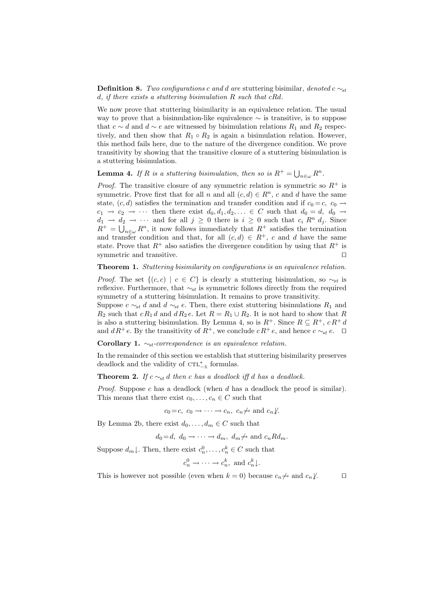**Definition 8.** Two configurations c and d are stuttering bisimilar, denoted c  $\sim_{st}$  $d, if there exists a suttering bisimulation R such that cRd.$ 

We now prove that stuttering bisimilarity is an equivalence relation. The usual way to prove that a bisimulation-like equivalence  $\sim$  is transitive, is to suppose that  $c \sim d$  and  $d \sim e$  are witnessed by bisimulation relations  $R_1$  and  $R_2$  respectively, and then show that  $R_1 \circ R_2$  is again a bisimulation relation. However, this method fails here, due to the nature of the divergence condition. We prove transitivity by showing that the transitive closure of a stuttering bisimulation is a stuttering bisimulation.

**Lemma 4.** If R is a stuttering bisimulation, then so is  $R^+ = \bigcup_{n \in \omega} R^n$ .

*Proof.* The transitive closure of any symmetric relation is symmetric so  $R^+$  is symmetric. Prove first that for all n and all  $(c, d) \in R<sup>n</sup>$ , c and d have the same state,  $(c, d)$  satisfies the termination and transfer condition and if  $c_0 = c$ ,  $c_0 \rightarrow c_1$  $c_1 \rightarrow c_2 \rightarrow \cdots$  then there exist  $d_0, d_1, d_2, \ldots \in C$  such that  $d_0 = d, d_0 \rightarrow$  $d_1 \rightarrow d_2 \rightarrow \cdots$  and for all  $j \geq 0$  there is  $i \geq 0$  such that  $c_i R^n d_j$ . Since  $R^+ = \bigcup_{n \in \omega} R^n$ , it now follows immediately that  $R^+$  satisfies the termination and transfer condition and that, for all  $(c, d) \in R^+$ , c and d have the same state. Prove that  $R^+$  also satisfies the divergence condition by using that  $R^+$  is symmetric and transitive.  $\Box$ 

#### Theorem 1. Stuttering bisimilarity on configurations is an equivalence relation.

*Proof.* The set  $\{(c, c) \mid c \in C\}$  is clearly a stuttering bisimulation, so  $\sim_{st}$  is reflexive. Furthermore, that  $\sim_{st}$  is symmetric follows directly from the required symmetry of a stuttering bisimulation. It remains to prove transitivity.

Suppose  $c \sim_{st} d$  and  $d \sim_{st} e$ . Then, there exist stuttering bisimulations  $R_1$  and  $R_2$  such that  $cR_1 d$  and  $dR_2 e$ . Let  $R = R_1 \cup R_2$ . It is not hard to show that R is also a stuttering bisimulation. By Lemma 4, so is  $R^+$ . Since  $R \subseteq R^+$ ,  $cR^+d$ and  $dR^+e$ . By the transitivity of  $R^+$ , we conclude  $cR^+e$ , and hence  $c \sim_{st} e$ .  $\Box$ 

Corollary 1.  $\sim_{st}$ -correspondence is an equivalence relation.

In the remainder of this section we establish that stuttering bisimilarity preserves deadlock and the validity of  $\text{CTL}_{-X}^*$  formulas.

#### **Theorem 2.** If  $c \sim_{st} d$  then c has a deadlock iff d has a deadlock.

*Proof.* Suppose c has a deadlock (when  $d$  has a deadlock the proof is similar). This means that there exist  $c_0, \ldots, c_n \in C$  such that

$$
c_0 = c, c_0 \rightarrow \cdots \rightarrow c_n, c_n \nrightarrow
$$
 and  $c_n \ndownarrow$ .

By Lemma 2b, there exist  $d_0, \ldots, d_m \in C$  such that

 $d_0 = d, d_0 \rightarrow \cdots \rightarrow d_m, d_m \nrightarrow \text{ and } c_n R d_m.$ 

Suppose  $d_m \downarrow$ . Then, there exist  $c_n^0, \ldots, c_n^k \in C$  such that

$$
c_n^0 \to \cdots \to c_n^k
$$
, and  $c_n^k \downarrow$ .

This is however not possible (even when  $k = 0$ ) because  $c_n \nrightarrow a_n \ell$ .  $\Box$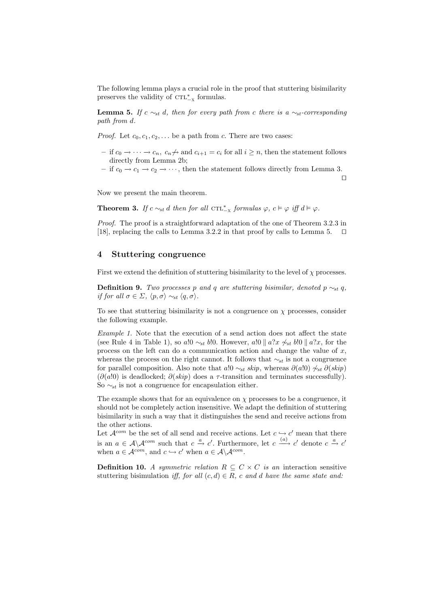The following lemma plays a crucial role in the proof that stuttering bisimilarity preserves the validity of  $\mathtt{CTL}^*_{-x}$  formulas.

**Lemma 5.** If  $c \sim_{st} d$ , then for every path from c there is a  $\sim_{st}$ -corresponding path from d.

*Proof.* Let  $c_0, c_1, c_2, \ldots$  be a path from c. There are two cases:

- if  $c_0$  → · · · →  $c_n$ ,  $c_n \nrightarrow$  and  $c_{i+1} = c_i$  for all  $i \geq n$ , then the statement follows directly from Lemma 2b;
- if  $c_0 \rightarrow c_1 \rightarrow c_2 \rightarrow \cdots$ , then the statement follows directly from Lemma 3.

 $\Box$ 

Now we present the main theorem.

**Theorem 3.** If  $c \sim_{st} d$  then for all  $\text{CTL}_{-X}^*$  formulas  $\varphi$ ,  $c \vDash \varphi$  iff  $d \vDash \varphi$ .

Proof. The proof is a straightforward adaptation of the one of Theorem 3.2.3 in [18], replacing the calls to Lemma 3.2.2 in that proof by calls to Lemma 5.  $\Box$ 

#### 4 Stuttering congruence

First we extend the definition of stuttering bisimilarity to the level of  $\chi$  processes.

**Definition 9.** Two processes p and q are stuttering bisimilar, denoted p  $\sim_{st} q$ , if for all  $\sigma \in \Sigma$ ,  $\langle p, \sigma \rangle \sim_{st} \langle q, \sigma \rangle$ .

To see that stuttering bisimilarity is not a congruence on  $\chi$  processes, consider the following example.

Example 1. Note that the execution of a send action does not affect the state (see Rule 4 in Table 1), so a!0  $\sim_{st} b!0$ . However, a!0  $\| a?x \not\sim_{st} b!0 \| a?x$ , for the process on the left can do a communication action and change the value of  $x$ , whereas the process on the right cannot. It follows that  $\sim_{st}$  is not a congruence for parallel composition. Also note that a!0  $\sim_{st}$  skip, whereas  $\partial(a|0) \not\sim_{st} \partial(skip)$  $(\partial(a!0)$  is deadlocked;  $\partial(\overline{skip})$  does a  $\tau$ -transition and terminates successfully). So  $\sim_{st}$  is not a congruence for encapsulation either.

The example shows that for an equivalence on  $\chi$  processes to be a congruence, it should not be completely action insensitive. We adapt the definition of stuttering bisimilarity in such a way that it distinguishes the send and receive actions from the other actions.

Let  $\mathcal{A}^{com}$  be the set of all send and receive actions. Let  $c \hookrightarrow c'$  mean that there is an  $a \in \mathcal{A} \backslash \mathcal{A}^{com}$  such that  $c \stackrel{a}{\rightarrow} c'$ . Furthermore, let  $c \stackrel{(a)}{\rightarrow} c'$  denote  $c \stackrel{a}{\rightarrow} c'$ when  $a \in \mathcal{A}^{com}$ , and  $c \hookrightarrow c'$  when  $a \in \mathcal{A} \backslash \mathcal{A}^{com}$ .

**Definition 10.** A symmetric relation  $R \subseteq C \times C$  is an interaction sensitive stuttering bisimulation iff, for all  $(c,d) \in R$ , c and d have the same state and: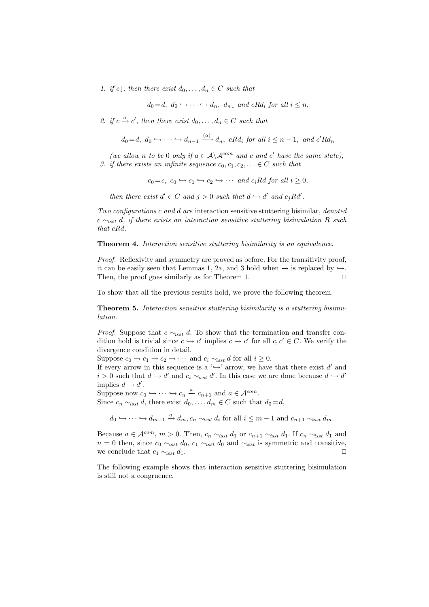1. if c, then there exist  $d_0, \ldots, d_n \in C$  such that

$$
d_0 = d, d_0 \hookrightarrow \cdots \hookrightarrow d_n, d_n \downarrow \text{ and } cRd_i \text{ for all } i \leq n,
$$

2. if  $c \stackrel{a}{\rightarrow} c'$ , then there exist  $d_0, \ldots, d_n \in C$  such that

$$
d_0 = d, d_0 \hookrightarrow \cdots \hookrightarrow d_{n-1} \xrightarrow{(a)} d_n
$$
, cRd<sub>i</sub> for all  $i \leq n-1$ , and c'Rd<sub>n</sub>

(we allow n to be 0 only if  $a \in A \backslash A^{com}$  and c and c' have the same state), 3. if there exists an infinite sequence  $c_0, c_1, c_2, \ldots \in C$  such that

$$
c_0 = c
$$
,  $c_0 \hookrightarrow c_1 \hookrightarrow c_2 \hookrightarrow \cdots$  and  $c_i R d$  for all  $i \geq 0$ ,

then there exist  $d' \in C$  and  $j > 0$  such that  $d \hookrightarrow d'$  and  $c_j R d'$ .

Two configurations c and d are interaction sensitive stuttering bisimilar, denoted c  $\sim_{\text{isst}} d$ , if there exists an interaction sensitive stuttering bisimulation R such that cRd.

Theorem 4. Interaction sensitive stuttering bisimilarity is an equivalence.

Proof. Reflexivity and symmetry are proved as before. For the transitivity proof, it can be easily seen that Lemmas 1, 2a, and 3 hold when  $\rightarrow$  is replaced by  $\hookrightarrow$ . Then, the proof goes similarly as for Theorem 1.  $\Box$ 

To show that all the previous results hold, we prove the following theorem.

Theorem 5. Interaction sensitive stuttering bisimilarity is a stuttering bisimulation.

*Proof.* Suppose that  $c \sim_{i} d$ . To show that the termination and transfer condition hold is trivial since  $c \hookrightarrow c'$  implies  $c \rightarrow c'$  for all  $c, c' \in C$ . We verify the divergence condition in detail.

Suppose  $c_0 \to c_1 \to c_2 \to \cdots$  and  $c_i \sim_{\text{isst}} d$  for all  $i \geq 0$ .

If every arrow in this sequence is a ' $\hookrightarrow$ ' arrow, we have that there exist d' and  $i > 0$  such that  $d \hookrightarrow d'$  and  $c_i \sim_{i_{s}} d'$ . In this case we are done because  $d \hookrightarrow d'$ implies  $d \rightarrow d'$ .

Suppose now  $c_0 \hookrightarrow \cdots \hookrightarrow c_n \xrightarrow{a} c_{n+1}$  and  $a \in \mathcal{A}^{com}$ .

Since  $c_n \sim_{i} d$ , there exist  $d_0, \ldots, d_m \in C$  such that  $d_0 = d$ ,

 $d_0 \hookrightarrow \cdots \hookrightarrow d_{m-1} \xrightarrow{a} d_m, c_n \sim_{isst} d_i$  for all  $i \leq m-1$  and  $c_{n+1} \sim_{isst} d_m$ .

Because  $a \in \mathcal{A}^{com}$ ,  $m > 0$ . Then,  $c_n \sim_{\text{isst}} d_1$  or  $c_{n+1} \sim_{\text{isst}} d_1$ . If  $c_n \sim_{\text{isst}} d_1$  and  $n = 0$  then, since  $c_0 \sim_{\text{isst}} d_0$ ,  $c_1 \sim_{\text{isst}} d_0$  and  $\sim_{\text{isst}}$  is symmetric and transitive, we conclude that  $c_1 \sim_{i} t d_1$ .

The following example shows that interaction sensitive stuttering bisimulation is still not a congruence.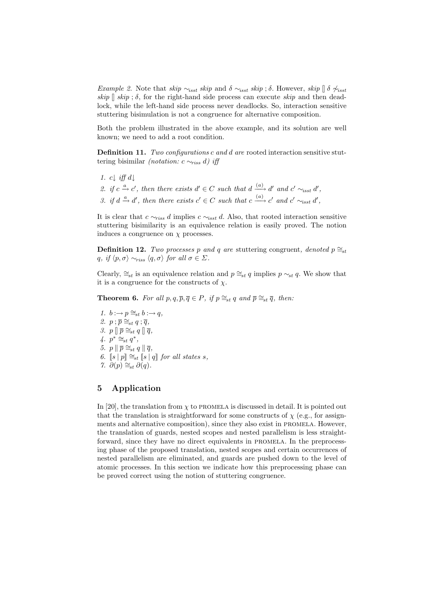Example 2. Note that skip  $\sim_{isst}$  skip and  $\delta \sim_{isst}$  skip ;  $\delta$ . However, skip  $\int \delta \not\sim_{isst}$ skip  $\parallel$  skip ;  $\delta$ , for the right-hand side process can execute skip and then deadlock, while the left-hand side process never deadlocks. So, interaction sensitive stuttering bisimulation is not a congruence for alternative composition.

Both the problem illustrated in the above example, and its solution are well known; we need to add a root condition.

Definition 11. Two configurations c and d are rooted interaction sensitive stuttering bisimilar (notation:  $c \sim_{riss} d$ ) iff

- 1.  $c \downarrow \text{iff} d \downarrow$
- 2. if  $c \xrightarrow{a} c'$ , then there exists  $d' \in C$  such that  $d \xrightarrow{(a)} d'$  and  $c' \sim_{\text{isst}} d'$ ,
- 3. if  $d \stackrel{a}{\rightarrow} d'$ , then there exists  $c' \in C$  such that  $c \stackrel{(a)}{\longrightarrow} c'$  and  $c' \sim_{\text{isst}} d'$ ,

It is clear that  $c \sim_{riss} d$  implies  $c \sim_{isst} d$ . Also, that rooted interaction sensitive stuttering bisimilarity is an equivalence relation is easily proved. The notion induces a congruence on  $\chi$  processes.

**Definition 12.** Two processes p and q are stuttering congruent, denoted  $p \cong_{st}$ q, if  $\langle p, \sigma \rangle \sim_{riss} \langle q, \sigma \rangle$  for all  $\sigma \in \Sigma$ .

Clearly,  $\cong_{st}$  is an equivalence relation and  $p \cong_{st} q$  implies  $p \sim_{st} q$ . We show that it is a congruence for the constructs of  $\chi$ .

**Theorem 6.** For all  $p, q, \overline{p}, \overline{q} \in P$ , if  $p \cong_{st} q$  and  $\overline{p} \cong_{st} \overline{q}$ , then:

1.  $b : \rightarrow p \cong_{st} b : \rightarrow q$ , 2.  $p : \overline{p} \cong_{st} q : \overline{q},$ 3.  $p \parallel \overline{p} \cong_{st} q \parallel \overline{q}$ ,  $\overline{q}$ .  $\overline{p}^* \cong_{st} \overline{q}^*$ , 5.  $p \parallel \overline{p} \cong_{st} q \parallel \overline{q}$ , 6.  $\|s\| \cdot p \leq st \|s\| q$  for all states s, 7.  $\partial(p) \cong_{st} \partial(q)$ .

## 5 Application

In [20], the translation from  $\chi$  to PROMELA is discussed in detail. It is pointed out that the translation is straightforward for some constructs of  $\chi$  (e.g., for assignments and alternative composition), since they also exist in PROMELA. However, the translation of guards, nested scopes and nested parallelism is less straightforward, since they have no direct equivalents in promela. In the preprocessing phase of the proposed translation, nested scopes and certain occurrences of nested parallelism are eliminated, and guards are pushed down to the level of atomic processes. In this section we indicate how this preprocessing phase can be proved correct using the notion of stuttering congruence.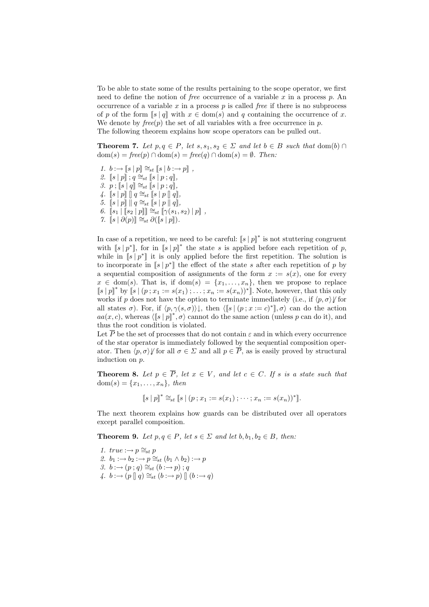To be able to state some of the results pertaining to the scope operator, we first need to define the notion of *free* occurrence of a variable x in a process p. An occurrence of a variable  $x$  in a process  $p$  is called *free* if there is no subprocess of p of the form  $\|s\|q\|$  with  $x \in \text{dom}(s)$  and q containing the occurrence of x. We denote by  $free(p)$  the set of all variables with a free occurrence in p. The following theorem explains how scope operators can be pulled out.

**Theorem 7.** Let  $p, q \in P$ , let  $s, s_1, s_2 \in \Sigma$  and let  $b \in B$  such that  $dom(b) \cap$  $dom(s) = free(p) \cap dom(s) = free(q) \cap dom(s) = \emptyset$ . Then:

- 1.  $b : \rightarrow [s | p] \cong_{st} [s | b : \rightarrow p]$ ,
- 2.  $[s | p]$ ;  $q \cong_{st} [s | p; q]$ ,
- 3.  $p$ ;  $[s | q] \cong_{st} [s | p; q],$
- 4.  $\|s\|p\| \, \|q \cong_{st} \|s\|p\|q\|,$
- 5.  $[s | p] || q \cong_{st} [s | p || q],$
- 6.  $[s_1 | [s_2 | p]] \cong_{st} [\gamma(s_1, s_2) | p]$ ,
- 7.  $[s | \partial(p) ] \cong_{st} \partial([s | p]).$

In case of a repetition, we need to be careful:  $[s | p|^*$  is not stuttering congruent with  $\|s\|p^*\|$ , for in  $\|s\|p\|^*$  the state s is applied before each repetition of p, while in  $[s | p^*]$  it is only applied before the first repetition. The solution is to incorporate in  $\|s\|p^*\|$  the effect of the state s after each repetition of p by a sequential composition of assignments of the form  $x := s(x)$ , one for every  $x \in \text{dom}(s)$ . That is, if  $\text{dom}(s) = \{x_1, \ldots, x_n\}$ , then we propose to replace  $[s | p]^*$  by  $[s | (p; x_1 := s(x_1); \ldots; x_n := s(x_n))^*]$ . Note, however, that this only works if p does not have the option to terminate immediately (i.e., if  $\langle p, \sigma \rangle$  for all states  $\sigma$ ). For, if  $\langle p, \gamma(s, \sigma) \rangle$ , then  $\langle s | (p; x == c)^* |, \sigma \rangle$  can do the action  $aa(x, c)$ , whereas  $\langle \|s \| p\|^*, \sigma \rangle$  cannot do the same action (unless p can do it), and thus the root condition is violated.

Let  $\overline{P}$  be the set of processes that do not contain  $\varepsilon$  and in which every occurrence of the star operator is immediately followed by the sequential composition operator. Then  $\langle p, \sigma \rangle$  for all  $\sigma \in \Sigma$  and all  $p \in \overline{P}$ , as is easily proved by structural induction on p.

**Theorem 8.** Let  $p \in \overline{P}$ , let  $x \in V$ , and let  $c \in C$ . If s is a state such that  $dom(s) = \{x_1, ..., x_n\},\, then$ 

$$
[[s | p]]^* \cong_{st} [[s | (p ; x_1 := s(x_1) ; \cdots ; x_n := s(x_n))^*].
$$

The next theorem explains how guards can be distributed over all operators except parallel composition.

**Theorem 9.** Let  $p, q \in P$ , let  $s \in \Sigma$  and let  $b, b_1, b_2 \in B$ , then:

- 1.  $true \rightarrow p \cong_{st} p$ 2.  $b_1 : \rightarrow b_2 : \rightarrow p \cong_{st} (b_1 \wedge b_2) : \rightarrow p$ 3.  $b : \rightarrow (p : q) \cong_{st} (b : \rightarrow p)$ ; q
- 4.  $b : \rightarrow (p \parallel q) \cong_{st} (b : \rightarrow p) \parallel (b : \rightarrow q)$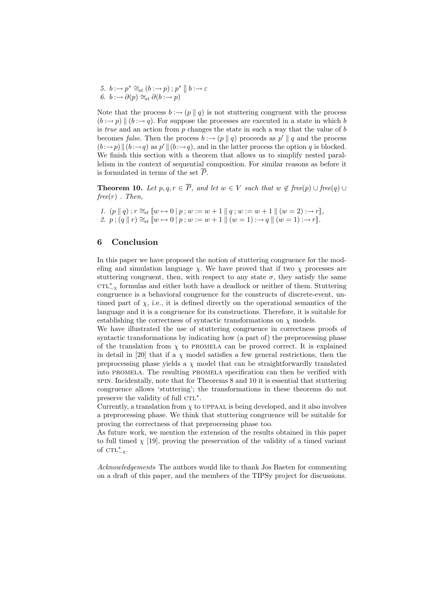5.  $b : \rightarrow p^* \cong_{st} (b : \rightarrow p)$ ;  $p^* \parallel b : \rightarrow \varepsilon$ 6.  $b : \rightarrow \partial(p) \cong_{st} \partial(b : \rightarrow p)$ 

Note that the process  $b : \rightarrow (p \mid q)$  is not stuttering congruent with the process  $(b \rightarrow p) \parallel (b \rightarrow q)$ . For suppose the processes are executed in a state in which b is *true* and an action from  $p$  changes the state in such a way that the value of  $b$ becomes *false*. Then the process  $b : \rightarrow (p || q)$  proceeds as  $p' || q$  and the process  $(b \rightarrow p) \|(b \rightarrow q)$  as  $p' \|(b \rightarrow q)$ , and in the latter process the option q is blocked. We finish this section with a theorem that allows us to simplify nested parallelism in the context of sequential composition. For similar reasons as before it is formulated in terms of the set  $\overline{P}$ .

**Theorem 10.** Let  $p, q, r \in \overline{P}$ , and let  $w \in V$  such that  $w \notin free(p) \cup free(q) \cup$  $free(r)$ . Then,

1.  $(p || q)$ ;  $r \cong_{st} [w \mapsto 0 | p; w := w + 1 || q; w := w + 1 || (w = 2) : \rightarrow r],$ 2.  $p$ ;  $(q || r) \cong_{st} [w \mapsto 0 | p; w := w + 1 || (w = 1) : \rightarrow q || (w = 1) : \rightarrow r].$ 

## 6 Conclusion

In this paper we have proposed the notion of stuttering congruence for the modeling and simulation language  $\chi$ . We have proved that if two  $\chi$  processes are stuttering congruent, then, with respect to any state  $\sigma$ , they satisfy the same  $\text{CTL}^*_{-x}$  formulas and either both have a deadlock or neither of them. Stuttering congruence is a behavioral congruence for the constructs of discrete-event, untimed part of  $\chi$ , i.e., it is defined directly on the operational semantics of the language and it is a congruence for its constructions. Therefore, it is suitable for establishing the correctness of syntactic transformations on  $\chi$  models.

We have illustrated the use of stuttering congruence in correctness proofs of syntactic transformations by indicating how (a part of) the preprocessing phase of the translation from  $\chi$  to PROMELA can be proved correct. It is explained in detail in [20] that if a  $\chi$  model satisfies a few general restrictions, then the preprocessing phase yields a  $\chi$  model that can be straightforwardly translated into promela. The resulting promela specification can then be verified with spin. Incidentally, note that for Theorems 8 and 10 it is essential that stuttering congruence allows 'stuttering'; the transformations in these theorems do not preserve the validity of full CTL<sup>\*</sup>.

Currently, a translation from  $\chi$  to UPPAAL is being developed, and it also involves a preprocessing phase. We think that stuttering congruence will be suitable for proving the correctness of that preprocessing phase too.

As future work, we mention the extension of the results obtained in this paper to full timed  $\chi$  [19], proving the preservation of the validity of a timed variant of  $\text{CTL}_{-X}^*$ .

Acknowledgements The authors would like to thank Jos Baeten for commenting on a draft of this paper, and the members of the TIPSy project for discussions.